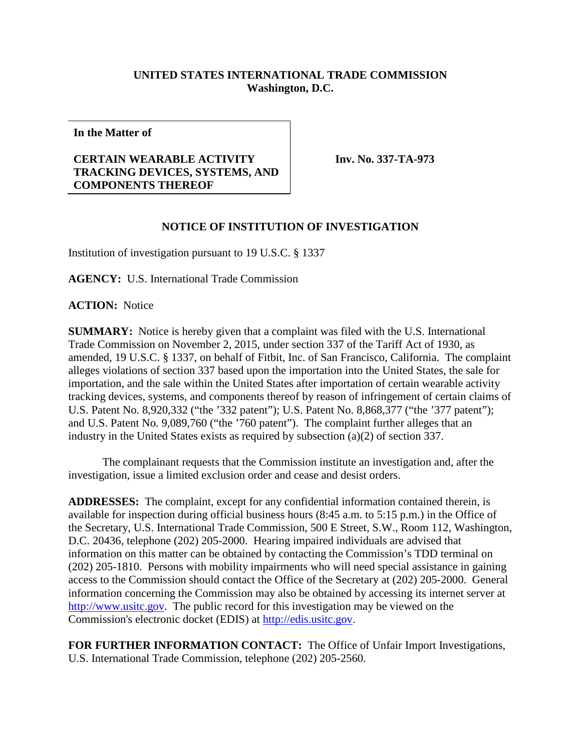## **UNITED STATES INTERNATIONAL TRADE COMMISSION Washington, D.C.**

**In the Matter of**

## **CERTAIN WEARABLE ACTIVITY TRACKING DEVICES, SYSTEMS, AND COMPONENTS THEREOF**

**Inv. No. 337-TA-973**

## **NOTICE OF INSTITUTION OF INVESTIGATION**

Institution of investigation pursuant to 19 U.S.C. § 1337

**AGENCY:** U.S. International Trade Commission

**ACTION:** Notice

**SUMMARY:** Notice is hereby given that a complaint was filed with the U.S. International Trade Commission on November 2, 2015, under section 337 of the Tariff Act of 1930, as amended, 19 U.S.C. § 1337, on behalf of Fitbit, Inc. of San Francisco, California. The complaint alleges violations of section 337 based upon the importation into the United States, the sale for importation, and the sale within the United States after importation of certain wearable activity tracking devices, systems, and components thereof by reason of infringement of certain claims of U.S. Patent No. 8,920,332 ("the '332 patent"); U.S. Patent No. 8,868,377 ("the '377 patent"); and U.S. Patent No. 9,089,760 ("the '760 patent"). The complaint further alleges that an industry in the United States exists as required by subsection (a)(2) of section 337.

The complainant requests that the Commission institute an investigation and, after the investigation, issue a limited exclusion order and cease and desist orders.

**ADDRESSES:** The complaint, except for any confidential information contained therein, is available for inspection during official business hours (8:45 a.m. to 5:15 p.m.) in the Office of the Secretary, U.S. International Trade Commission, 500 E Street, S.W., Room 112, Washington, D.C. 20436, telephone (202) 205-2000. Hearing impaired individuals are advised that information on this matter can be obtained by contacting the Commission's TDD terminal on (202) 205-1810. Persons with mobility impairments who will need special assistance in gaining access to the Commission should contact the Office of the Secretary at (202) 205-2000. General information concerning the Commission may also be obtained by accessing its internet server at [http://www.usitc.gov.](http://www.usitc.gov/) The public record for this investigation may be viewed on the Commission's electronic docket (EDIS) at [http://edis.usitc.gov.](http://edis.usitc.gov/)

**FOR FURTHER INFORMATION CONTACT:** The Office of Unfair Import Investigations, U.S. International Trade Commission, telephone (202) 205-2560.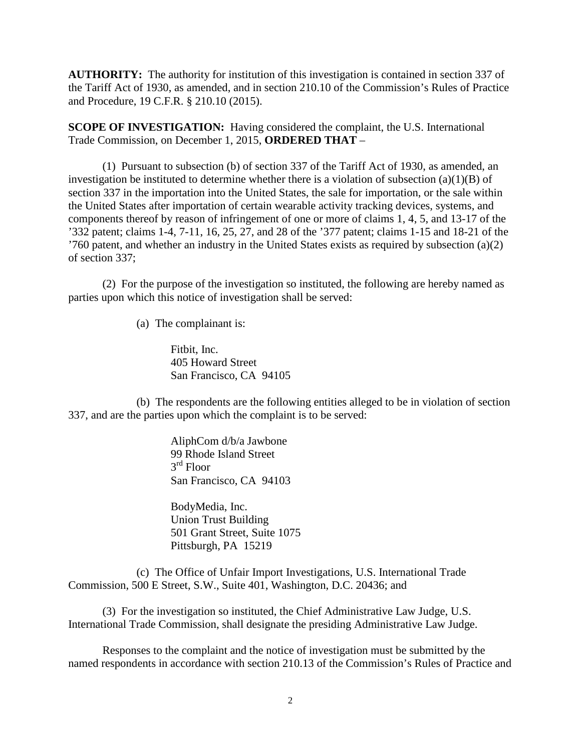**AUTHORITY:** The authority for institution of this investigation is contained in section 337 of the Tariff Act of 1930, as amended, and in section 210.10 of the Commission's Rules of Practice and Procedure, 19 C.F.R. § 210.10 (2015).

**SCOPE OF INVESTIGATION:** Having considered the complaint, the U.S. International Trade Commission, on December 1, 2015, **ORDERED THAT** –

(1) Pursuant to subsection (b) of section 337 of the Tariff Act of 1930, as amended, an investigation be instituted to determine whether there is a violation of subsection  $(a)(1)(B)$  of section 337 in the importation into the United States, the sale for importation, or the sale within the United States after importation of certain wearable activity tracking devices, systems, and components thereof by reason of infringement of one or more of claims 1, 4, 5, and 13-17 of the '332 patent; claims 1-4, 7-11, 16, 25, 27, and 28 of the '377 patent; claims 1-15 and 18-21 of the '760 patent, and whether an industry in the United States exists as required by subsection (a)(2) of section 337;

(2) For the purpose of the investigation so instituted, the following are hereby named as parties upon which this notice of investigation shall be served:

(a) The complainant is:

Fitbit, Inc. 405 Howard Street San Francisco, CA 94105

(b) The respondents are the following entities alleged to be in violation of section 337, and are the parties upon which the complaint is to be served:

> AliphCom d/b/a Jawbone 99 Rhode Island Street 3rd Floor San Francisco, CA 94103

BodyMedia, Inc. Union Trust Building 501 Grant Street, Suite 1075 Pittsburgh, PA 15219

(c) The Office of Unfair Import Investigations, U.S. International Trade Commission, 500 E Street, S.W., Suite 401, Washington, D.C. 20436; and

(3) For the investigation so instituted, the Chief Administrative Law Judge, U.S. International Trade Commission, shall designate the presiding Administrative Law Judge.

Responses to the complaint and the notice of investigation must be submitted by the named respondents in accordance with section 210.13 of the Commission's Rules of Practice and